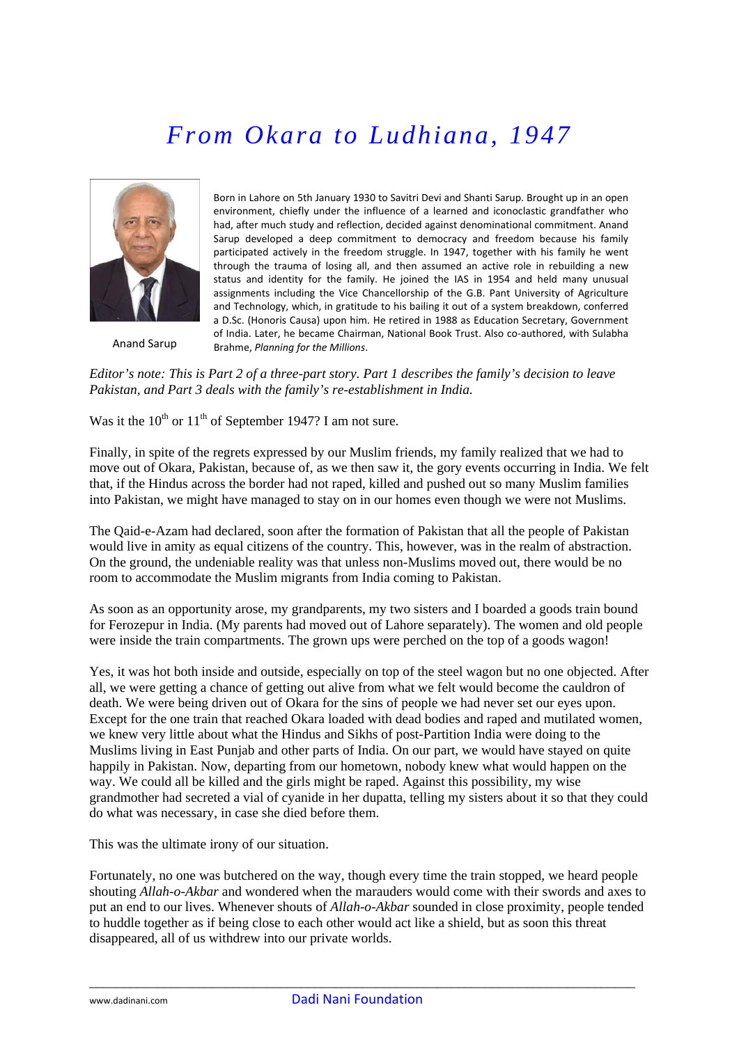# *From Okara to Ludhiana, 1947*



Anand Sarup

Born in Lahore on 5th January 1930 to Savitri Devi and Shanti Sarup. Brought up in an open environment, chiefly under the influence of a learned and iconoclastic grandfather who had, after much study and reflection, decided against denominational commitment. Anand Sarup developed a deep commitment to democracy and freedom because his family participated actively in the freedom struggle. In 1947, together with his family he went through the trauma of losing all, and then assumed an active role in rebuilding a new status and identity for the family. He joined the IAS in 1954 and held many unusual assignments including the Vice Chancellorship of the G.B. Pant University of Agriculture and Technology, which, in gratitude to his bailing it out of a system breakdown, conferred a D.Sc. (Honoris Causa) upon him. He retired in 1988 as Education Secretary, Government of India. Later, he became Chairman, National Book Trust. Also co-authored, with Sulabha Brahme, *Planning for the Millions*.

*Editor's note: This is Part 2 of a three-part story. Part 1 describes the family's decision to leave Pakistan, and Part 3 deals with the family's re-establishment in India.*

Was it the  $10^{th}$  or  $11^{th}$  of September 1947? I am not sure.

Finally, in spite of the regrets expressed by our Muslim friends, my family realized that we had to move out of Okara, Pakistan, because of, as we then saw it, the gory events occurring in India. We felt that, if the Hindus across the border had not raped, killed and pushed out so many Muslim families into Pakistan, we might have managed to stay on in our homes even though we were not Muslims.

The Qaid-e-Azam had declared, soon after the formation of Pakistan that all the people of Pakistan would live in amity as equal citizens of the country. This, however, was in the realm of abstraction. On the ground, the undeniable reality was that unless non-Muslims moved out, there would be no room to accommodate the Muslim migrants from India coming to Pakistan.

As soon as an opportunity arose, my grandparents, my two sisters and I boarded a goods train bound for Ferozepur in India. (My parents had moved out of Lahore separately). The women and old people were inside the train compartments. The grown ups were perched on the top of a goods wagon!

Yes, it was hot both inside and outside, especially on top of the steel wagon but no one objected. After all, we were getting a chance of getting out alive from what we felt would become the cauldron of death. We were being driven out of Okara for the sins of people we had never set our eyes upon. Except for the one train that reached Okara loaded with dead bodies and raped and mutilated women, we knew very little about what the Hindus and Sikhs of post-Partition India were doing to the Muslims living in East Punjab and other parts of India. On our part, we would have stayed on quite happily in Pakistan. Now, departing from our hometown, nobody knew what would happen on the way. We could all be killed and the girls might be raped. Against this possibility, my wise grandmother had secreted a vial of cyanide in her dupatta, telling my sisters about it so that they could do what was necessary, in case she died before them.

This was the ultimate irony of our situation.

Fortunately, no one was butchered on the way, though every time the train stopped, we heard people shouting *Allah-o-Akbar* and wondered when the marauders would come with their swords and axes to put an end to our lives. Whenever shouts of *Allah-o-Akbar* sounded in close proximity, people tended to huddle together as if being close to each other would act like a shield, but as soon this threat disappeared, all of us withdrew into our private worlds.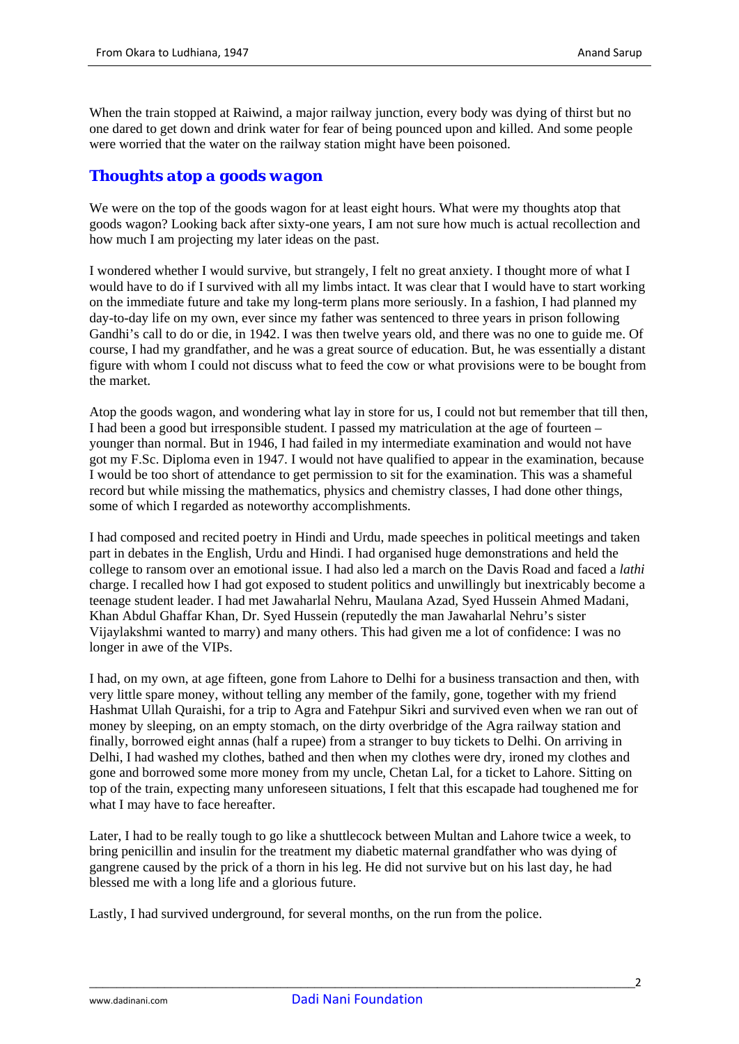When the train stopped at Raiwind, a major railway junction, every body was dying of thirst but no one dared to get down and drink water for fear of being pounced upon and killed. And some people were worried that the water on the railway station might have been poisoned.

### *Thoughts atop a goods wagon*

We were on the top of the goods wagon for at least eight hours. What were my thoughts atop that goods wagon? Looking back after sixty-one years, I am not sure how much is actual recollection and how much I am projecting my later ideas on the past.

I wondered whether I would survive, but strangely, I felt no great anxiety. I thought more of what I would have to do if I survived with all my limbs intact. It was clear that I would have to start working on the immediate future and take my long-term plans more seriously. In a fashion, I had planned my day-to-day life on my own, ever since my father was sentenced to three years in prison following Gandhi's call to do or die, in 1942. I was then twelve years old, and there was no one to guide me. Of course, I had my grandfather, and he was a great source of education. But, he was essentially a distant figure with whom I could not discuss what to feed the cow or what provisions were to be bought from the market.

Atop the goods wagon, and wondering what lay in store for us, I could not but remember that till then, I had been a good but irresponsible student. I passed my matriculation at the age of fourteen – younger than normal. But in 1946, I had failed in my intermediate examination and would not have got my F.Sc. Diploma even in 1947. I would not have qualified to appear in the examination, because I would be too short of attendance to get permission to sit for the examination. This was a shameful record but while missing the mathematics, physics and chemistry classes, I had done other things, some of which I regarded as noteworthy accomplishments.

I had composed and recited poetry in Hindi and Urdu, made speeches in political meetings and taken part in debates in the English, Urdu and Hindi. I had organised huge demonstrations and held the college to ransom over an emotional issue. I had also led a march on the Davis Road and faced a *lathi* charge. I recalled how I had got exposed to student politics and unwillingly but inextricably become a teenage student leader. I had met Jawaharlal Nehru, Maulana Azad, Syed Hussein Ahmed Madani, Khan Abdul Ghaffar Khan, Dr. Syed Hussein (reputedly the man Jawaharlal Nehru's sister Vijaylakshmi wanted to marry) and many others. This had given me a lot of confidence: I was no longer in awe of the VIPs.

I had, on my own, at age fifteen, gone from Lahore to Delhi for a business transaction and then, with very little spare money, without telling any member of the family, gone, together with my friend Hashmat Ullah Quraishi, for a trip to Agra and Fatehpur Sikri and survived even when we ran out of money by sleeping, on an empty stomach, on the dirty overbridge of the Agra railway station and finally, borrowed eight annas (half a rupee) from a stranger to buy tickets to Delhi. On arriving in Delhi, I had washed my clothes, bathed and then when my clothes were dry, ironed my clothes and gone and borrowed some more money from my uncle, Chetan Lal, for a ticket to Lahore. Sitting on top of the train, expecting many unforeseen situations, I felt that this escapade had toughened me for what I may have to face hereafter.

Later, I had to be really tough to go like a shuttlecock between Multan and Lahore twice a week, to bring penicillin and insulin for the treatment my diabetic maternal grandfather who was dying of gangrene caused by the prick of a thorn in his leg. He did not survive but on his last day, he had blessed me with a long life and a glorious future.

Lastly, I had survived underground, for several months, on the run from the police.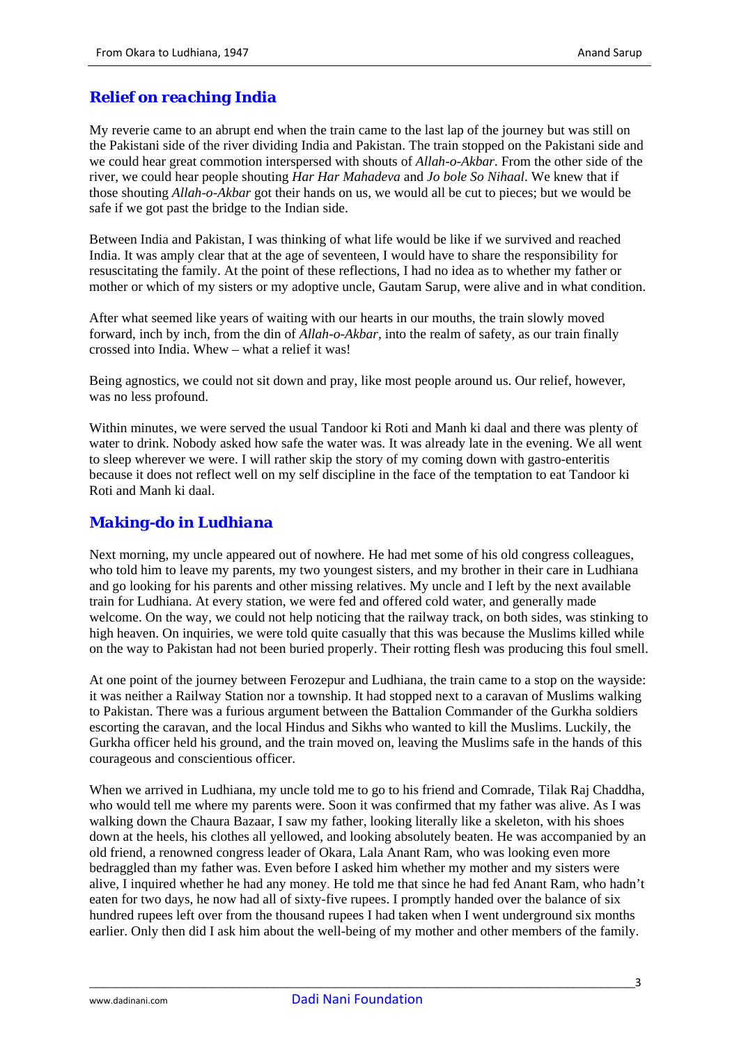## *Relief on reaching India*

My reverie came to an abrupt end when the train came to the last lap of the journey but was still on the Pakistani side of the river dividing India and Pakistan. The train stopped on the Pakistani side and we could hear great commotion interspersed with shouts of *Allah-o-Akbar*. From the other side of the river, we could hear people shouting *Har Har Mahadeva* and *Jo bole So Nihaal*. We knew that if those shouting *Allah-o-Akbar* got their hands on us, we would all be cut to pieces; but we would be safe if we got past the bridge to the Indian side.

Between India and Pakistan, I was thinking of what life would be like if we survived and reached India. It was amply clear that at the age of seventeen, I would have to share the responsibility for resuscitating the family. At the point of these reflections, I had no idea as to whether my father or mother or which of my sisters or my adoptive uncle, Gautam Sarup, were alive and in what condition.

After what seemed like years of waiting with our hearts in our mouths, the train slowly moved forward, inch by inch, from the din of *Allah-o-Akbar,* into the realm of safety, as our train finally crossed into India. Whew – what a relief it was!

Being agnostics, we could not sit down and pray, like most people around us. Our relief, however, was no less profound.

Within minutes, we were served the usual Tandoor ki Roti and Manh ki daal and there was plenty of water to drink. Nobody asked how safe the water was. It was already late in the evening. We all went to sleep wherever we were. I will rather skip the story of my coming down with gastro-enteritis because it does not reflect well on my self discipline in the face of the temptation to eat Tandoor ki Roti and Manh ki daal.

#### *Making-do in Ludhiana*

Next morning, my uncle appeared out of nowhere. He had met some of his old congress colleagues, who told him to leave my parents, my two youngest sisters, and my brother in their care in Ludhiana and go looking for his parents and other missing relatives. My uncle and I left by the next available train for Ludhiana. At every station, we were fed and offered cold water, and generally made welcome. On the way, we could not help noticing that the railway track, on both sides, was stinking to high heaven. On inquiries, we were told quite casually that this was because the Muslims killed while on the way to Pakistan had not been buried properly. Their rotting flesh was producing this foul smell.

At one point of the journey between Ferozepur and Ludhiana, the train came to a stop on the wayside: it was neither a Railway Station nor a township. It had stopped next to a caravan of Muslims walking to Pakistan. There was a furious argument between the Battalion Commander of the Gurkha soldiers escorting the caravan, and the local Hindus and Sikhs who wanted to kill the Muslims. Luckily, the Gurkha officer held his ground, and the train moved on, leaving the Muslims safe in the hands of this courageous and conscientious officer.

When we arrived in Ludhiana, my uncle told me to go to his friend and Comrade, Tilak Raj Chaddha, who would tell me where my parents were. Soon it was confirmed that my father was alive. As I was walking down the Chaura Bazaar, I saw my father, looking literally like a skeleton, with his shoes down at the heels, his clothes all yellowed, and looking absolutely beaten. He was accompanied by an old friend, a renowned congress leader of Okara, Lala Anant Ram, who was looking even more bedraggled than my father was. Even before I asked him whether my mother and my sisters were alive, I inquired whether he had any money. He told me that since he had fed Anant Ram, who hadn't eaten for two days, he now had all of sixty-five rupees. I promptly handed over the balance of six hundred rupees left over from the thousand rupees I had taken when I went underground six months earlier. Only then did I ask him about the well-being of my mother and other members of the family.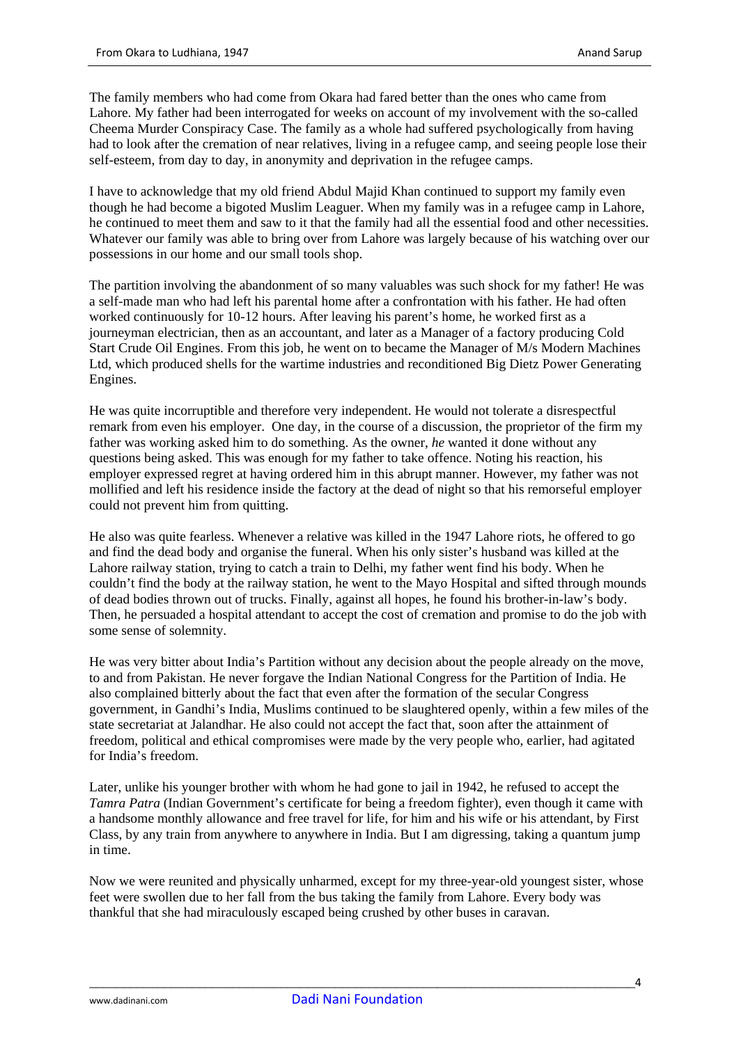The family members who had come from Okara had fared better than the ones who came from Lahore. My father had been interrogated for weeks on account of my involvement with the so-called Cheema Murder Conspiracy Case. The family as a whole had suffered psychologically from having had to look after the cremation of near relatives, living in a refugee camp, and seeing people lose their self-esteem, from day to day, in anonymity and deprivation in the refugee camps.

I have to acknowledge that my old friend Abdul Majid Khan continued to support my family even though he had become a bigoted Muslim Leaguer. When my family was in a refugee camp in Lahore, he continued to meet them and saw to it that the family had all the essential food and other necessities. Whatever our family was able to bring over from Lahore was largely because of his watching over our possessions in our home and our small tools shop.

The partition involving the abandonment of so many valuables was such shock for my father! He was a self-made man who had left his parental home after a confrontation with his father. He had often worked continuously for 10-12 hours. After leaving his parent's home, he worked first as a journeyman electrician, then as an accountant, and later as a Manager of a factory producing Cold Start Crude Oil Engines. From this job, he went on to became the Manager of M/s Modern Machines Ltd, which produced shells for the wartime industries and reconditioned Big Dietz Power Generating Engines.

He was quite incorruptible and therefore very independent. He would not tolerate a disrespectful remark from even his employer. One day, in the course of a discussion, the proprietor of the firm my father was working asked him to do something. As the owner, *he* wanted it done without any questions being asked. This was enough for my father to take offence. Noting his reaction, his employer expressed regret at having ordered him in this abrupt manner. However, my father was not mollified and left his residence inside the factory at the dead of night so that his remorseful employer could not prevent him from quitting.

He also was quite fearless. Whenever a relative was killed in the 1947 Lahore riots, he offered to go and find the dead body and organise the funeral. When his only sister's husband was killed at the Lahore railway station, trying to catch a train to Delhi, my father went find his body. When he couldn't find the body at the railway station, he went to the Mayo Hospital and sifted through mounds of dead bodies thrown out of trucks. Finally, against all hopes, he found his brother-in-law's body. Then, he persuaded a hospital attendant to accept the cost of cremation and promise to do the job with some sense of solemnity.

He was very bitter about India's Partition without any decision about the people already on the move, to and from Pakistan. He never forgave the Indian National Congress for the Partition of India. He also complained bitterly about the fact that even after the formation of the secular Congress government, in Gandhi's India, Muslims continued to be slaughtered openly, within a few miles of the state secretariat at Jalandhar. He also could not accept the fact that, soon after the attainment of freedom, political and ethical compromises were made by the very people who, earlier, had agitated for India's freedom.

Later, unlike his younger brother with whom he had gone to jail in 1942, he refused to accept the *Tamra Patra* (Indian Government's certificate for being a freedom fighter), even though it came with a handsome monthly allowance and free travel for life, for him and his wife or his attendant, by First Class, by any train from anywhere to anywhere in India. But I am digressing, taking a quantum jump in time.

Now we were reunited and physically unharmed, except for my three-year-old youngest sister, whose feet were swollen due to her fall from the bus taking the family from Lahore. Every body was thankful that she had miraculously escaped being crushed by other buses in caravan.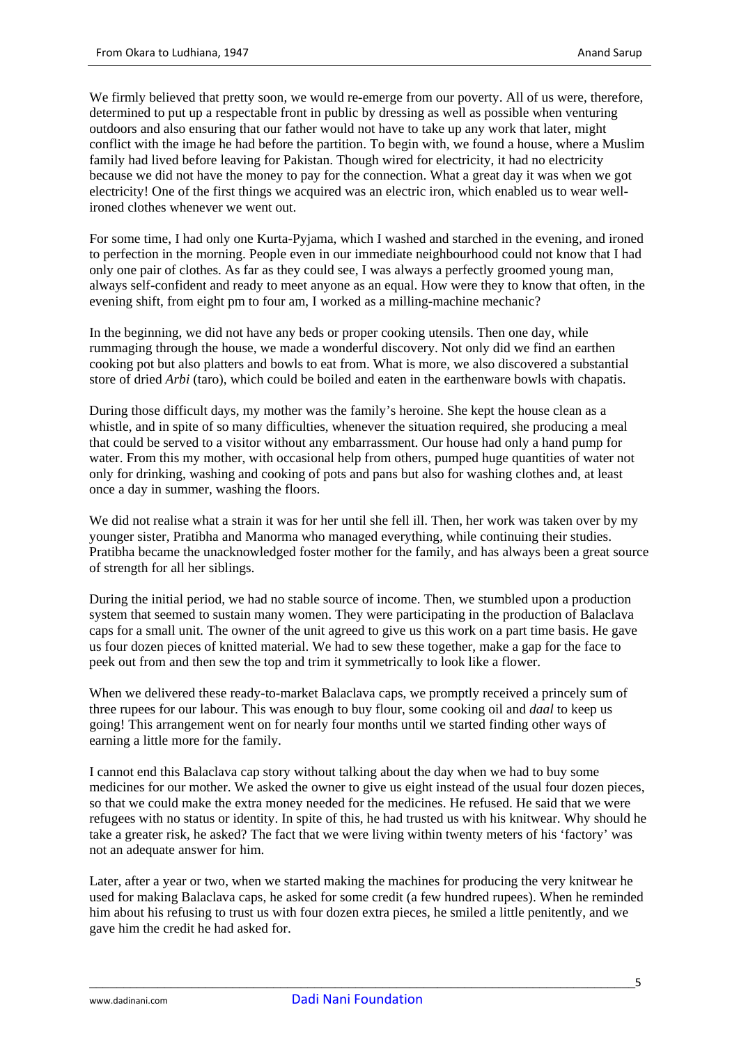We firmly believed that pretty soon, we would re-emerge from our poverty. All of us were, therefore, determined to put up a respectable front in public by dressing as well as possible when venturing outdoors and also ensuring that our father would not have to take up any work that later, might conflict with the image he had before the partition. To begin with, we found a house, where a Muslim family had lived before leaving for Pakistan. Though wired for electricity, it had no electricity because we did not have the money to pay for the connection. What a great day it was when we got electricity! One of the first things we acquired was an electric iron, which enabled us to wear wellironed clothes whenever we went out.

For some time, I had only one Kurta-Pyjama, which I washed and starched in the evening, and ironed to perfection in the morning. People even in our immediate neighbourhood could not know that I had only one pair of clothes. As far as they could see, I was always a perfectly groomed young man, always self-confident and ready to meet anyone as an equal. How were they to know that often, in the evening shift, from eight pm to four am, I worked as a milling-machine mechanic?

In the beginning, we did not have any beds or proper cooking utensils. Then one day, while rummaging through the house, we made a wonderful discovery. Not only did we find an earthen cooking pot but also platters and bowls to eat from. What is more, we also discovered a substantial store of dried *Arbi* (taro), which could be boiled and eaten in the earthenware bowls with chapatis.

During those difficult days, my mother was the family's heroine. She kept the house clean as a whistle, and in spite of so many difficulties, whenever the situation required, she producing a meal that could be served to a visitor without any embarrassment. Our house had only a hand pump for water. From this my mother, with occasional help from others, pumped huge quantities of water not only for drinking, washing and cooking of pots and pans but also for washing clothes and, at least once a day in summer, washing the floors.

We did not realise what a strain it was for her until she fell ill. Then, her work was taken over by my younger sister, Pratibha and Manorma who managed everything, while continuing their studies. Pratibha became the unacknowledged foster mother for the family, and has always been a great source of strength for all her siblings.

During the initial period, we had no stable source of income. Then, we stumbled upon a production system that seemed to sustain many women. They were participating in the production of Balaclava caps for a small unit. The owner of the unit agreed to give us this work on a part time basis. He gave us four dozen pieces of knitted material. We had to sew these together, make a gap for the face to peek out from and then sew the top and trim it symmetrically to look like a flower.

When we delivered these ready-to-market Balaclava caps, we promptly received a princely sum of three rupees for our labour. This was enough to buy flour, some cooking oil and *daal* to keep us going! This arrangement went on for nearly four months until we started finding other ways of earning a little more for the family.

I cannot end this Balaclava cap story without talking about the day when we had to buy some medicines for our mother. We asked the owner to give us eight instead of the usual four dozen pieces, so that we could make the extra money needed for the medicines. He refused. He said that we were refugees with no status or identity. In spite of this, he had trusted us with his knitwear. Why should he take a greater risk, he asked? The fact that we were living within twenty meters of his 'factory' was not an adequate answer for him.

Later, after a year or two, when we started making the machines for producing the very knitwear he used for making Balaclava caps, he asked for some credit (a few hundred rupees). When he reminded him about his refusing to trust us with four dozen extra pieces, he smiled a little penitently, and we gave him the credit he had asked for.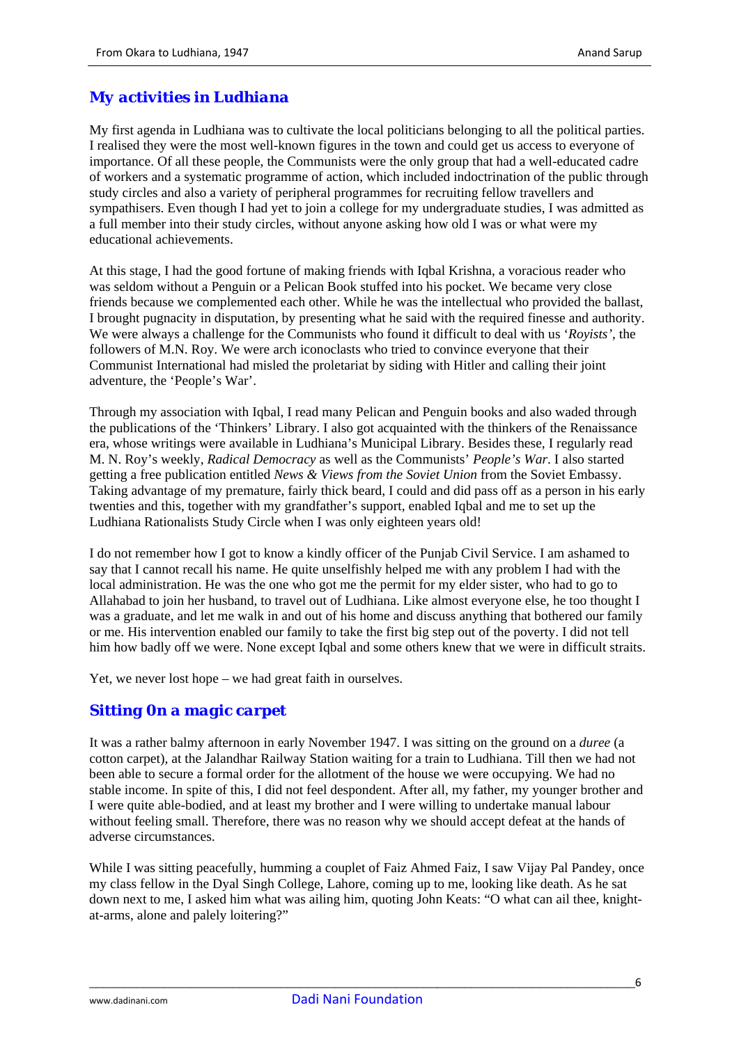## *My activities in Ludhiana*

My first agenda in Ludhiana was to cultivate the local politicians belonging to all the political parties. I realised they were the most well-known figures in the town and could get us access to everyone of importance. Of all these people, the Communists were the only group that had a well-educated cadre of workers and a systematic programme of action, which included indoctrination of the public through study circles and also a variety of peripheral programmes for recruiting fellow travellers and sympathisers. Even though I had yet to join a college for my undergraduate studies, I was admitted as a full member into their study circles, without anyone asking how old I was or what were my educational achievements.

At this stage, I had the good fortune of making friends with Iqbal Krishna, a voracious reader who was seldom without a Penguin or a Pelican Book stuffed into his pocket. We became very close friends because we complemented each other. While he was the intellectual who provided the ballast, I brought pugnacity in disputation, by presenting what he said with the required finesse and authority. We were always a challenge for the Communists who found it difficult to deal with us '*Royists'*, the followers of M.N. Roy. We were arch iconoclasts who tried to convince everyone that their Communist International had misled the proletariat by siding with Hitler and calling their joint adventure, the 'People's War'.

Through my association with Iqbal, I read many Pelican and Penguin books and also waded through the publications of the 'Thinkers' Library. I also got acquainted with the thinkers of the Renaissance era, whose writings were available in Ludhiana's Municipal Library. Besides these, I regularly read M. N. Roy's weekly, *Radical Democracy* as well as the Communists' *People's War*. I also started getting a free publication entitled *News & Views from the Soviet Union* from the Soviet Embassy. Taking advantage of my premature, fairly thick beard, I could and did pass off as a person in his early twenties and this, together with my grandfather's support, enabled Iqbal and me to set up the Ludhiana Rationalists Study Circle when I was only eighteen years old!

I do not remember how I got to know a kindly officer of the Punjab Civil Service. I am ashamed to say that I cannot recall his name. He quite unselfishly helped me with any problem I had with the local administration. He was the one who got me the permit for my elder sister, who had to go to Allahabad to join her husband, to travel out of Ludhiana. Like almost everyone else, he too thought I was a graduate, and let me walk in and out of his home and discuss anything that bothered our family or me. His intervention enabled our family to take the first big step out of the poverty. I did not tell him how badly off we were. None except Igbal and some others knew that we were in difficult straits.

Yet, we never lost hope – we had great faith in ourselves.

#### *Sitting 0n a magic carpet*

It was a rather balmy afternoon in early November 1947. I was sitting on the ground on a *duree* (a cotton carpet)*,* at the Jalandhar Railway Station waiting for a train to Ludhiana. Till then we had not been able to secure a formal order for the allotment of the house we were occupying. We had no stable income. In spite of this, I did not feel despondent. After all, my father, my younger brother and I were quite able-bodied, and at least my brother and I were willing to undertake manual labour without feeling small. Therefore, there was no reason why we should accept defeat at the hands of adverse circumstances.

While I was sitting peacefully, humming a couplet of Faiz Ahmed Faiz, I saw Vijay Pal Pandey, once my class fellow in the Dyal Singh College, Lahore, coming up to me, looking like death. As he sat down next to me, I asked him what was ailing him, quoting John Keats: "O what can ail thee, knightat-arms, alone and palely loitering?"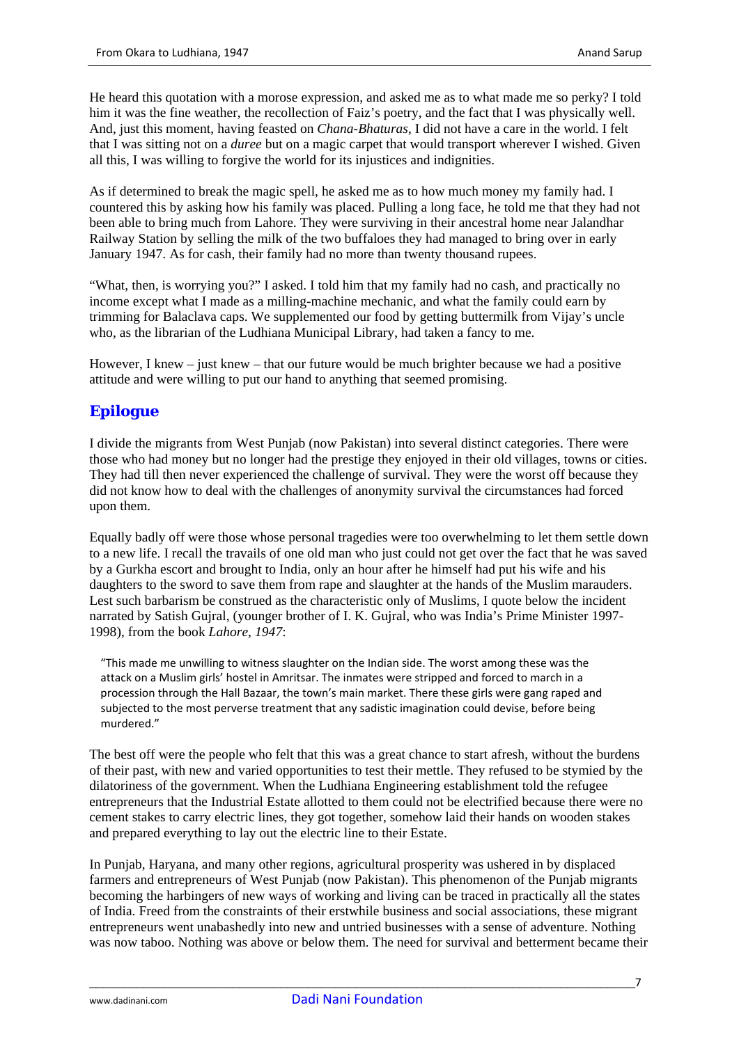He heard this quotation with a morose expression, and asked me as to what made me so perky? I told him it was the fine weather, the recollection of Faiz's poetry, and the fact that I was physically well. And, just this moment, having feasted on *Chana-Bhaturas*, I did not have a care in the world. I felt that I was sitting not on a *duree* but on a magic carpet that would transport wherever I wished. Given all this, I was willing to forgive the world for its injustices and indignities.

As if determined to break the magic spell, he asked me as to how much money my family had. I countered this by asking how his family was placed. Pulling a long face, he told me that they had not been able to bring much from Lahore. They were surviving in their ancestral home near Jalandhar Railway Station by selling the milk of the two buffaloes they had managed to bring over in early January 1947. As for cash, their family had no more than twenty thousand rupees.

"What, then, is worrying you?" I asked. I told him that my family had no cash, and practically no income except what I made as a milling-machine mechanic, and what the family could earn by trimming for Balaclava caps. We supplemented our food by getting buttermilk from Vijay's uncle who, as the librarian of the Ludhiana Municipal Library, had taken a fancy to me.

However, I knew – just knew – that our future would be much brighter because we had a positive attitude and were willing to put our hand to anything that seemed promising.

## *Epilogue*

I divide the migrants from West Punjab (now Pakistan) into several distinct categories. There were those who had money but no longer had the prestige they enjoyed in their old villages, towns or cities. They had till then never experienced the challenge of survival. They were the worst off because they did not know how to deal with the challenges of anonymity survival the circumstances had forced upon them.

Equally badly off were those whose personal tragedies were too overwhelming to let them settle down to a new life. I recall the travails of one old man who just could not get over the fact that he was saved by a Gurkha escort and brought to India, only an hour after he himself had put his wife and his daughters to the sword to save them from rape and slaughter at the hands of the Muslim marauders. Lest such barbarism be construed as the characteristic only of Muslims, I quote below the incident narrated by Satish Gujral, (younger brother of I. K. Gujral, who was India's Prime Minister 1997- 1998), from the book *Lahore, 1947*:

"This made me unwilling to witness slaughter on the Indian side. The worst among these was the attack on a Muslim girls' hostel in Amritsar. The inmates were stripped and forced to march in a procession through the Hall Bazaar, the town's main market. There these girls were gang raped and subjected to the most perverse treatment that any sadistic imagination could devise, before being murdered."

The best off were the people who felt that this was a great chance to start afresh, without the burdens of their past, with new and varied opportunities to test their mettle. They refused to be stymied by the dilatoriness of the government. When the Ludhiana Engineering establishment told the refugee entrepreneurs that the Industrial Estate allotted to them could not be electrified because there were no cement stakes to carry electric lines, they got together, somehow laid their hands on wooden stakes and prepared everything to lay out the electric line to their Estate.

In Punjab, Haryana, and many other regions, agricultural prosperity was ushered in by displaced farmers and entrepreneurs of West Punjab (now Pakistan). This phenomenon of the Punjab migrants becoming the harbingers of new ways of working and living can be traced in practically all the states of India. Freed from the constraints of their erstwhile business and social associations, these migrant entrepreneurs went unabashedly into new and untried businesses with a sense of adventure. Nothing was now taboo. Nothing was above or below them. The need for survival and betterment became their